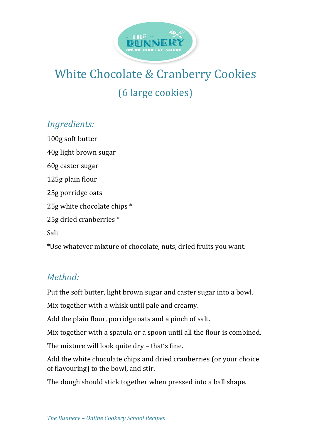

## White Chocolate & Cranberry Cookies (6 large cookies)

## *Ingredients:*

100g soft butter 40g light brown sugar 60g caster sugar 125g plain flour 25g porridge oats 25g white chocolate chips  $*$ 25g dried cranberries \* Salt \*Use whatever mixture of chocolate, nuts, dried fruits you want.

## *Method:*

Put the soft butter, light brown sugar and caster sugar into a bowl.

Mix together with a whisk until pale and creamy.

Add the plain flour, porridge oats and a pinch of salt.

Mix together with a spatula or a spoon until all the flour is combined.

The mixture will look quite  $\frac{dy}{dx}$  – that's fine.

Add the white chocolate chips and dried cranberries (or your choice of flavouring) to the bowl, and stir.

The dough should stick together when pressed into a ball shape.